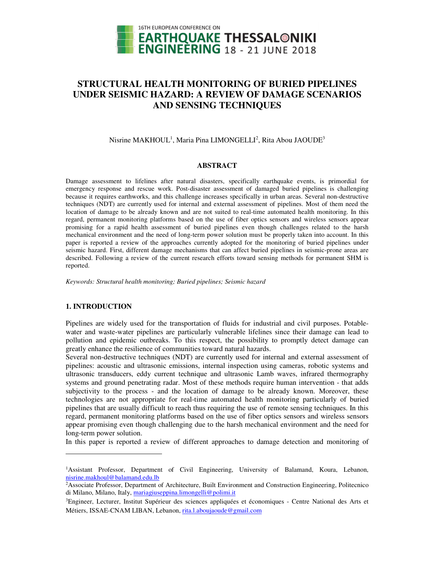

# **STRUCTURAL HEALTH MONITORING OF BURIED PIPELINES UNDER SEISMIC HAZARD: A REVIEW OF DAMAGE SCENARIOS AND SENSING TECHNIQUES**

Nisrine MAKHOUL $^1$ , Maria Pina LIMONGELLI $^2$ , Rita Abou JAOUDE $^3$ 

#### **ABSTRACT**

Damage assessment to lifelines after natural disasters, specifically earthquake events, is primordial for emergency response and rescue work. Post-disaster assessment of damaged buried pipelines is challenging because it requires earthworks, and this challenge increases specifically in urban areas. Several non-destructive techniques (NDT) are currently used for internal and external assessment of pipelines. Most of them need the location of damage to be already known and are not suited to real-time automated health monitoring. In this regard, permanent monitoring platforms based on the use of fiber optics sensors and wireless sensors appear promising for a rapid health assessment of buried pipelines even though challenges related to the harsh mechanical environment and the need of long-term power solution must be properly taken into account. In this paper is reported a review of the approaches currently adopted for the monitoring of buried pipelines under seismic hazard. First, different damage mechanisms that can affect buried pipelines in seismic-prone areas are described. Following a review of the current research efforts toward sensing methods for permanent SHM is reported.

*Keywords: Structural health monitoring; Buried pipelines; Seismic hazard* 

#### **1. INTRODUCTION**

 $\overline{a}$ 

Pipelines are widely used for the transportation of fluids for industrial and civil purposes. Potablewater and waste-water pipelines are particularly vulnerable lifelines since their damage can lead to pollution and epidemic outbreaks. To this respect, the possibility to promptly detect damage can greatly enhance the resilience of communities toward natural hazards.

Several non-destructive techniques (NDT) are currently used for internal and external assessment of pipelines: acoustic and ultrasonic emissions, internal inspection using cameras, robotic systems and ultrasonic transducers, eddy current technique and ultrasonic Lamb waves, infrared thermography systems and ground penetrating radar. Most of these methods require human intervention - that adds subjectivity to the process - and the location of damage to be already known. Moreover, these technologies are not appropriate for real-time automated health monitoring particularly of buried pipelines that are usually difficult to reach thus requiring the use of remote sensing techniques. In this regard, permanent monitoring platforms based on the use of fiber optics sensors and wireless sensors appear promising even though challenging due to the harsh mechanical environment and the need for long-term power solution.

In this paper is reported a review of different approaches to damage detection and monitoring of

<sup>1</sup>Assistant Professor, Department of Civil Engineering, University of Balamand, Koura, Lebanon, nisrine.makhoul@balamand.edu.lb

<sup>2</sup>Associate Professor, Department of Architecture, Built Environment and Construction Engineering, Politecnico di Milano, Milano, Italy, mariagiuseppina.limongelli@polimi.it

<sup>3</sup>Engineer, Lecturer, Institut Supérieur des sciences appliquées et économiques - Centre National des Arts et Métiers, ISSAE-CNAM LIBAN, Lebanon, rita.l.aboujaoude@gmail.com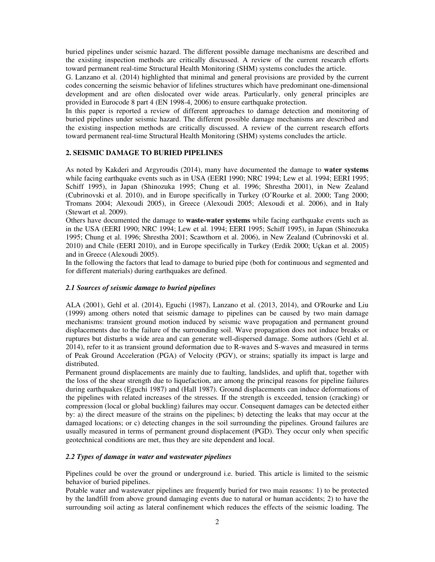buried pipelines under seismic hazard. The different possible damage mechanisms are described and the existing inspection methods are critically discussed. A review of the current research efforts toward permanent real-time Structural Health Monitoring (SHM) systems concludes the article.

G. Lanzano et al. (2014) highlighted that minimal and general provisions are provided by the current codes concerning the seismic behavior of lifelines structures which have predominant one-dimensional development and are often dislocated over wide areas. Particularly, only general principles are provided in Eurocode 8 part 4 (EN 1998-4, 2006) to ensure earthquake protection.

In this paper is reported a review of different approaches to damage detection and monitoring of buried pipelines under seismic hazard. The different possible damage mechanisms are described and the existing inspection methods are critically discussed. A review of the current research efforts toward permanent real-time Structural Health Monitoring (SHM) systems concludes the article.

# **2. SEISMIC DAMAGE TO BURIED PIPELINES**

As noted by Kakderi and Argyroudis (2014), many have documented the damage to **water systems** while facing earthquake events such as in USA (EERI 1990; NRC 1994; Lew et al. 1994; EERI 1995; Schiff 1995), in Japan (Shinozuka 1995; Chung et al. 1996; Shrestha 2001), in New Zealand (Cubrinovski et al. 2010), and in Europe specifically in Turkey (O'Rourke et al. 2000; Tang 2000; Tromans 2004; Alexoudi 2005), in Greece (Alexoudi 2005; Alexoudi et al. 2006), and in Italy (Stewart et al. 2009).

Others have documented the damage to **waste-water systems** while facing earthquake events such as in the USA (EERI 1990; NRC 1994; Lew et al. 1994; EERI 1995; Schiff 1995), in Japan (Shinozuka 1995; Chung et al. 1996; Shrestha 2001; Scawthorn et al. 2006), in New Zealand (Cubrinovski et al. 2010) and Chile (EERI 2010), and in Europe specifically in Turkey (Erdik 2000; Uçkan et al. 2005) and in Greece (Alexoudi 2005).

In the following the factors that lead to damage to buried pipe (both for continuous and segmented and for different materials) during earthquakes are defined.

## *2.1 Sources of seismic damage to buried pipelines*

ALA (2001), Gehl et al. (2014), Eguchi (1987), Lanzano et al. (2013, 2014), and O'Rourke and Liu (1999) among others noted that seismic damage to pipelines can be caused by two main damage mechanisms: transient ground motion induced by seismic wave propagation and permanent ground displacements due to the failure of the surrounding soil. Wave propagation does not induce breaks or ruptures but disturbs a wide area and can generate well-dispersed damage. Some authors (Gehl et al. 2014), refer to it as transient ground deformation due to R-waves and S-waves and measured in terms of Peak Ground Acceleration (PGA) of Velocity (PGV), or strains; spatially its impact is large and distributed.

Permanent ground displacements are mainly due to faulting, landslides, and uplift that, together with the loss of the shear strength due to liquefaction, are among the principal reasons for pipeline failures during earthquakes (Eguchi 1987) and (Hall 1987). Ground displacements can induce deformations of the pipelines with related increases of the stresses. If the strength is exceeded, tension (cracking) or compression (local or global buckling) failures may occur. Consequent damages can be detected either by: a) the direct measure of the strains on the pipelines; b) detecting the leaks that may occur at the damaged locations; or c) detecting changes in the soil surrounding the pipelines. Ground failures are usually measured in terms of permanent ground displacement (PGD). They occur only when specific geotechnical conditions are met, thus they are site dependent and local.

## *2.2 Types of damage in water and wastewater pipelines*

Pipelines could be over the ground or underground i.e. buried. This article is limited to the seismic behavior of buried pipelines.

Potable water and wastewater pipelines are frequently buried for two main reasons: 1) to be protected by the landfill from above ground damaging events due to natural or human accidents; 2) to have the surrounding soil acting as lateral confinement which reduces the effects of the seismic loading*.* The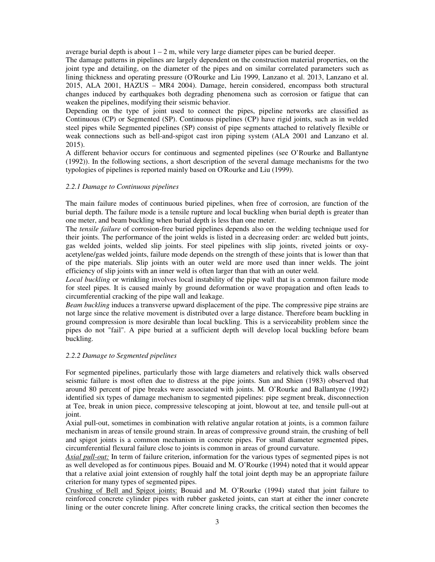average burial depth is about  $1 - 2$  m, while very large diameter pipes can be buried deeper.

The damage patterns in pipelines are largely dependent on the construction material properties, on the joint type and detailing, on the diameter of the pipes and on similar correlated parameters such as lining thickness and operating pressure (O'Rourke and Liu 1999, Lanzano et al. 2013, Lanzano et al. 2015, ALA 2001, HAZUS – MR4 2004). Damage, herein considered, encompass both structural changes induced by earthquakes both degrading phenomena such as corrosion or fatigue that can weaken the pipelines, modifying their seismic behavior.

Depending on the type of joint used to connect the pipes, pipeline networks are classified as Continuous (CP) or Segmented (SP). Continuous pipelines (CP) have rigid joints, such as in welded steel pipes while Segmented pipelines (SP) consist of pipe segments attached to relatively flexible or weak connections such as bell-and-spigot cast iron piping system (ALA 2001 and Lanzano et al. 2015).

A different behavior occurs for continuous and segmented pipelines (see O'Rourke and Ballantyne (1992)). In the following sections, a short description of the several damage mechanisms for the two typologies of pipelines is reported mainly based on O'Rourke and Liu (1999).

#### *2.2.1 Damage to Continuous pipelines*

The main failure modes of continuous buried pipelines, when free of corrosion, are function of the burial depth. The failure mode is a tensile rupture and local buckling when burial depth is greater than one meter, and beam buckling when burial depth is less than one meter.

The *tensile failure* of corrosion-free buried pipelines depends also on the welding technique used for their joints. The performance of the joint welds is listed in a decreasing order: arc welded butt joints, gas welded joints, welded slip joints. For steel pipelines with slip joints, riveted joints or oxyacetylene/gas welded joints, failure mode depends on the strength of these joints that is lower than that of the pipe materials. Slip joints with an outer weld are more used than inner welds. The joint efficiency of slip joints with an inner weld is often larger than that with an outer weld.

*Local buckling* or wrinkling involves local instability of the pipe wall that is a common failure mode for steel pipes. It is caused mainly by ground deformation or wave propagation and often leads to circumferential cracking of the pipe wall and leakage.

*Beam buckling* induces a transverse upward displacement of the pipe. The compressive pipe strains are not large since the relative movement is distributed over a large distance. Therefore beam buckling in ground compression is more desirable than local buckling. This is a serviceability problem since the pipes do not "fail". A pipe buried at a sufficient depth will develop local buckling before beam buckling.

#### *2.2.2 Damage to Segmented pipelines*

For segmented pipelines, particularly those with large diameters and relatively thick walls observed seismic failure is most often due to distress at the pipe joints. Sun and Shien (1983) observed that around 80 percent of pipe breaks were associated with joints. M. O'Rourke and Ballantyne (1992) identified six types of damage mechanism to segmented pipelines: pipe segment break, disconnection at Tee, break in union piece, compressive telescoping at joint, blowout at tee, and tensile pull-out at joint.

Axial pull-out, sometimes in combination with relative angular rotation at joints, is a common failure mechanism in areas of tensile ground strain. In areas of compressive ground strain, the crushing of bell and spigot joints is a common mechanism in concrete pipes. For small diameter segmented pipes, circumferential flexural failure close to joints is common in areas of ground curvature.

*Axial pull-out:* In term of failure criterion, information for the various types of segmented pipes is not as well developed as for continuous pipes. Bouaid and M. O'Rourke (1994) noted that it would appear that a relative axial joint extension of roughly half the total joint depth may be an appropriate failure criterion for many types of segmented pipes.

Crushing of Bell and Spigot joints: Bouaid and M. O'Rourke (1994) stated that joint failure to reinforced concrete cylinder pipes with rubber gasketed joints, can start at either the inner concrete lining or the outer concrete lining. After concrete lining cracks, the critical section then becomes the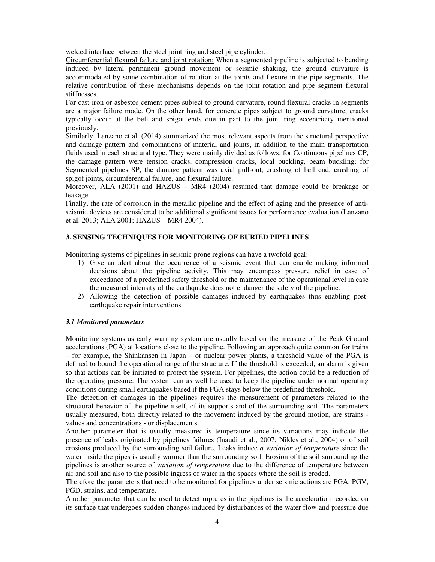welded interface between the steel joint ring and steel pipe cylinder.

Circumferential flexural failure and joint rotation: When a segmented pipeline is subjected to bending induced by lateral permanent ground movement or seismic shaking, the ground curvature is accommodated by some combination of rotation at the joints and flexure in the pipe segments. The relative contribution of these mechanisms depends on the joint rotation and pipe segment flexural stiffnesses.

For cast iron or asbestos cement pipes subject to ground curvature, round flexural cracks in segments are a major failure mode. On the other hand, for concrete pipes subject to ground curvature, cracks typically occur at the bell and spigot ends due in part to the joint ring eccentricity mentioned previously.

Similarly, Lanzano et al. (2014) summarized the most relevant aspects from the structural perspective and damage pattern and combinations of material and joints, in addition to the main transportation fluids used in each structural type. They were mainly divided as follows: for Continuous pipelines CP, the damage pattern were tension cracks, compression cracks, local buckling, beam buckling; for Segmented pipelines SP, the damage pattern was axial pull-out, crushing of bell end, crushing of spigot joints, circumferential failure, and flexural failure.

Moreover, ALA (2001) and HAZUS – MR4 (2004) resumed that damage could be breakage or leakage.

Finally, the rate of corrosion in the metallic pipeline and the effect of aging and the presence of antiseismic devices are considered to be additional significant issues for performance evaluation (Lanzano et al. 2013; ALA 2001; HAZUS – MR4 2004).

## **3. SENSING TECHNIQUES FOR MONITORING OF BURIED PIPELINES**

Monitoring systems of pipelines in seismic prone regions can have a twofold goal:

- 1) Give an alert about the occurrence of a seismic event that can enable making informed decisions about the pipeline activity. This may encompass pressure relief in case of exceedance of a predefined safety threshold or the maintenance of the operational level in case the measured intensity of the earthquake does not endanger the safety of the pipeline.
- 2) Allowing the detection of possible damages induced by earthquakes thus enabling postearthquake repair interventions.

#### *3.1 Monitored parameters*

Monitoring systems as early warning system are usually based on the measure of the Peak Ground accelerations (PGA) at locations close to the pipeline. Following an approach quite common for trains – for example, the Shinkansen in Japan – or nuclear power plants, a threshold value of the PGA is defined to bound the operational range of the structure. If the threshold is exceeded, an alarm is given so that actions can be initiated to protect the system. For pipelines, the action could be a reduction of the operating pressure. The system can as well be used to keep the pipeline under normal operating conditions during small earthquakes based if the PGA stays below the predefined threshold.

The detection of damages in the pipelines requires the measurement of parameters related to the structural behavior of the pipeline itself, of its supports and of the surrounding soil. The parameters usually measured, both directly related to the movement induced by the ground motion, are strains values and concentrations - or displacements.

Another parameter that is usually measured is temperature since its variations may indicate the presence of leaks originated by pipelines failures (Inaudi et al., 2007; Nikles et al., 2004) or of soil erosions produced by the surrounding soil failure. Leaks induce *a variation of temperature* since the water inside the pipes is usually warmer than the surrounding soil. Erosion of the soil surrounding the pipelines is another source of *variation of temperature* due to the difference of temperature between air and soil and also to the possible ingress of water in the spaces where the soil is eroded.

Therefore the parameters that need to be monitored for pipelines under seismic actions are PGA, PGV, PGD, strains, and temperature.

Another parameter that can be used to detect ruptures in the pipelines is the acceleration recorded on its surface that undergoes sudden changes induced by disturbances of the water flow and pressure due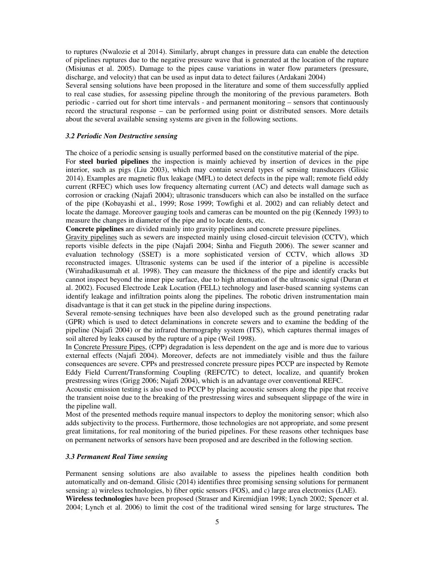to ruptures (Nwalozie et al 2014). Similarly, abrupt changes in pressure data can enable the detection of pipelines ruptures due to the negative pressure wave that is generated at the location of the rupture (Misiunas et al. 2005). Damage to the pipes cause variations in water flow parameters (pressure, discharge, and velocity) that can be used as input data to detect failures (Ardakani 2004)

Several sensing solutions have been proposed in the literature and some of them successfully applied to real case studies, for assessing pipeline through the monitoring of the previous parameters. Both periodic - carried out for short time intervals - and permanent monitoring – sensors that continuously record the structural response – can be performed using point or distributed sensors. More details about the several available sensing systems are given in the following sections.

#### *3.2 Periodic Non Destructive sensing*

The choice of a periodic sensing is usually performed based on the constitutive material of the pipe.

For **steel buried pipelines** the inspection is mainly achieved by insertion of devices in the pipe interior, such as pigs (Liu 2003), which may contain several types of sensing transducers (Glisic 2014). Examples are magnetic flux leakage (MFL) to detect defects in the pipe wall; remote field eddy current (RFEC) which uses low frequency alternating current (AC) and detects wall damage such as corrosion or cracking (Najafi 2004); ultrasonic transducers which can also be installed on the surface of the pipe (Kobayashi et al., 1999; Rose 1999; Towfighi et al. 2002) and can reliably detect and locate the damage. Moreover gauging tools and cameras can be mounted on the pig (Kennedy 1993) to measure the changes in diameter of the pipe and to locate dents, etc.

**Concrete pipelines** are divided mainly into gravity pipelines and concrete pressure pipelines.

Gravity pipelines such as sewers are inspected mainly using closed-circuit television (CCTV), which reports visible defects in the pipe (Najafi 2004; Sinha and Fieguth 2006). The sewer scanner and evaluation technology (SSET) is a more sophisticated version of CCTV, which allows 3D reconstructed images. Ultrasonic systems can be used if the interior of a pipeline is accessible (Wirahadikusumah et al. 1998). They can measure the thickness of the pipe and identify cracks but cannot inspect beyond the inner pipe surface, due to high attenuation of the ultrasonic signal (Duran et al. 2002). Focused Electrode Leak Location (FELL) technology and laser-based scanning systems can identify leakage and infiltration points along the pipelines. The robotic driven instrumentation main disadvantage is that it can get stuck in the pipeline during inspections.

Several remote-sensing techniques have been also developed such as the ground penetrating radar (GPR) which is used to detect delaminations in concrete sewers and to examine the bedding of the pipeline (Najafi 2004) or the infrared thermography system (ITS), which captures thermal images of soil altered by leaks caused by the rupture of a pipe (Weil 1998).

In Concrete Pressure Pipes, (CPP) degradation is less dependent on the age and is more due to various external effects (Najafi 2004). Moreover, defects are not immediately visible and thus the failure consequences are severe. CPPs and prestressed concrete pressure pipes PCCP are inspected by Remote Eddy Field Current/Transforming Coupling (REFC/TC) to detect, localize, and quantify broken prestressing wires (Grigg 2006; Najafi 2004), which is an advantage over conventional REFC.

Acoustic emission testing is also used to PCCP by placing acoustic sensors along the pipe that receive the transient noise due to the breaking of the prestressing wires and subsequent slippage of the wire in the pipeline wall.

Most of the presented methods require manual inspectors to deploy the monitoring sensor; which also adds subjectivity to the process. Furthermore, those technologies are not appropriate, and some present great limitations, for real monitoring of the buried pipelines. For these reasons other techniques base on permanent networks of sensors have been proposed and are described in the following section.

# *3.3 Permanent Real Time sensing*

Permanent sensing solutions are also available to assess the pipelines health condition both automatically and on-demand. Glisic (2014) identifies three promising sensing solutions for permanent sensing: a) wireless technologies, b) fiber optic sensors (FOS), and c) large area electronics (LAE).

**Wireless technologies** have been proposed (Straser and Kiremidjian 1998; Lynch 2002; Spencer et al. 2004; Lynch et al. 2006) to limit the cost of the traditional wired sensing for large structures**.** The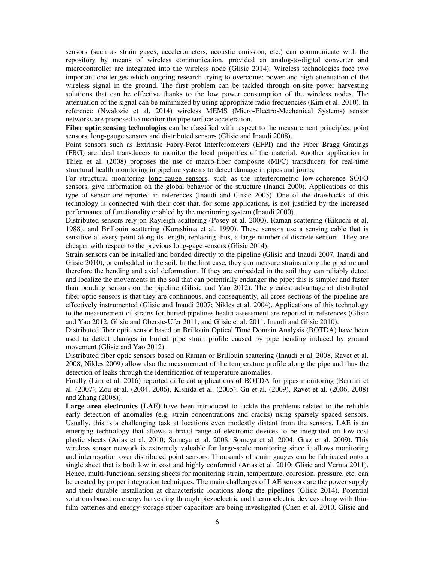sensors (such as strain gages, accelerometers, acoustic emission, etc.) can communicate with the repository by means of wireless communication, provided an analog-to-digital converter and microcontroller are integrated into the wireless node (Glisic 2014). Wireless technologies face two important challenges which ongoing research trying to overcome: power and high attenuation of the wireless signal in the ground. The first problem can be tackled through on-site power harvesting solutions that can be effective thanks to the low power consumption of the wireless nodes. The attenuation of the signal can be minimized by using appropriate radio frequencies (Kim et al. 2010). In reference (Nwalozie et al. 2014) wireless MEMS (Micro-Electro-Mechanical Systems) sensor networks are proposed to monitor the pipe surface acceleration.

**Fiber optic sensing technologies** can be classified with respect to the measurement principles: point sensors, long-gauge sensors and distributed sensors (Glisic and Inaudi 2008).

Point sensors such as Extrinsic Fabry-Perot Interferometers (EFPI) and the Fiber Bragg Gratings (FBG) are ideal transducers to monitor the local properties of the material. Another application in Thien et al. (2008) proposes the use of macro-fiber composite (MFC) transducers for real-time structural health monitoring in pipeline systems to detect damage in pipes and joints.

For structural monitoring long-gauge sensors, such as the interferometric low-coherence SOFO sensors, give information on the global behavior of the structure (Inaudi 2000). Applications of this type of sensor are reported in references (Inaudi and Glisic 2005). One of the drawbacks of this technology is connected with their cost that, for some applications, is not justified by the increased performance of functionality enabled by the monitoring system (Inaudi 2000).

Distributed sensors rely on Rayleigh scattering (Posey et al. 2000), Raman scattering (Kikuchi et al. 1988), and Brillouin scattering (Kurashima et al. 1990). These sensors use a sensing cable that is sensitive at every point along its length, replacing thus, a large number of discrete sensors. They are cheaper with respect to the previous long-gage sensors (Glisic 2014).

Strain sensors can be installed and bonded directly to the pipeline (Glisic and Inaudi 2007, Inaudi and Glisic 2010), or embedded in the soil. In the first case, they can measure strains along the pipeline and therefore the bending and axial deformation. If they are embedded in the soil they can reliably detect and localize the movements in the soil that can potentially endanger the pipe; this is simpler and faster than bonding sensors on the pipeline (Glisic and Yao 2012). The greatest advantage of distributed fiber optic sensors is that they are continuous, and consequently, all cross-sections of the pipeline are effectively instrumented (Glisic and Inaudi 2007; Nikles et al. 2004). Applications of this technology to the measurement of strains for buried pipelines health assessment are reported in references (Glisic and Yao 2012, Glisic and Oberste-Ufer 2011, and Glisic et al. 2011, Inaudi and Glisic 2010).

Distributed fiber optic sensor based on Brillouin Optical Time Domain Analysis (BOTDA) have been used to detect changes in buried pipe strain profile caused by pipe bending induced by ground movement (Glisic and Yao 2012).

Distributed fiber optic sensors based on Raman or Brillouin scattering (Inaudi et al. 2008, Ravet et al. 2008, Nikles 2009) allow also the measurement of the temperature profile along the pipe and thus the detection of leaks through the identification of temperature anomalies.

Finally (Lim et al. 2016) reported different applications of BOTDA for pipes monitoring (Bernini et al. (2007), Zou et al. (2004, 2006), Kishida et al. (2005), Gu et al. (2009), Ravet et al. (2006, 2008) and Zhang (2008)).

Large area electronics (LAE) have been introduced to tackle the problems related to the reliable early detection of anomalies (e.g. strain concentrations and cracks) using sparsely spaced sensors. Usually, this is a challenging task at locations even modestly distant from the sensors. LAE is an emerging technology that allows a broad range of electronic devices to be integrated on low-cost plastic sheets (Arias et al. 2010; Someya et al. 2008; Someya et al. 2004; Graz et al. 2009). This wireless sensor network is extremely valuable for large-scale monitoring since it allows monitoring and interrogation over distributed point sensors. Thousands of strain gauges can be fabricated onto a single sheet that is both low in cost and highly conformal (Arias et al. 2010; Glisic and Verma 2011). Hence, multi-functional sensing sheets for monitoring strain, temperature, corrosion, pressure, etc. can be created by proper integration techniques. The main challenges of LAE sensors are the power supply and their durable installation at characteristic locations along the pipelines (Glisic 2014). Potential solutions based on energy harvesting through piezoelectric and thermoelectric devices along with thinfilm batteries and energy-storage super-capacitors are being investigated (Chen et al. 2010, Glisic and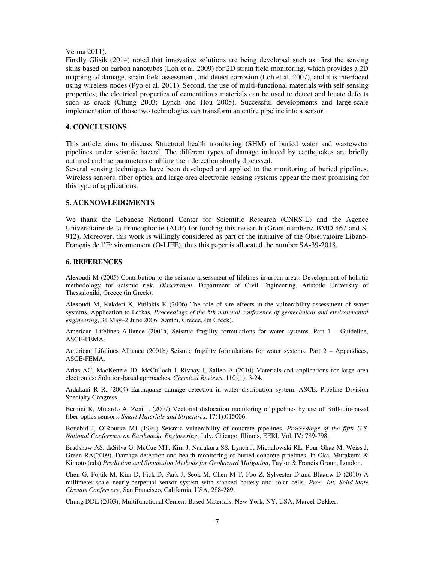#### Verma 2011).

Finally Glisik (2014) noted that innovative solutions are being developed such as: first the sensing skins based on carbon nanotubes (Loh et al. 2009) for 2D strain field monitoring, which provides a 2D mapping of damage, strain field assessment, and detect corrosion (Loh et al. 2007), and it is interfaced using wireless nodes (Pyo et al. 2011). Second, the use of multi-functional materials with self-sensing properties; the electrical properties of cementitious materials can be used to detect and locate defects such as crack (Chung 2003; Lynch and Hou 2005). Successful developments and large-scale implementation of those two technologies can transform an entire pipeline into a sensor.

### **4. CONCLUSIONS**

This article aims to discuss Structural health monitoring (SHM) of buried water and wastewater pipelines under seismic hazard. The different types of damage induced by earthquakes are briefly outlined and the parameters enabling their detection shortly discussed.

Several sensing techniques have been developed and applied to the monitoring of buried pipelines. Wireless sensors, fiber optics, and large area electronic sensing systems appear the most promising for this type of applications.

# **5. ACKNOWLEDGMENTS**

We thank the Lebanese National Center for Scientific Research (CNRS-L) and the Agence Universitaire de la Francophonie (AUF) for funding this research (Grant numbers: BMO-467 and S-912). Moreover, this work is willingly considered as part of the initiative of the Observatoire Libano-Français de l'Environnement (O-LIFE), thus this paper is allocated the number SA-39-2018.

## **6. REFERENCES**

Alexoudi M (2005) Contribution to the seismic assessment of lifelines in urban areas. Development of holistic methodology for seismic risk. *Dissertation*, Department of Civil Engineering, Aristotle University of Thessaloniki, Greece (in Greek).

Alexoudi M, Kakderi K, Pitilakis K (2006) The role of site effects in the vulnerability assessment of water systems. Application to Lefkas*. Proceedings of the 5th national conference of geotechnical and environmental engineering*, 31 May–2 June 2006, Xanthi, Greece, (in Greek).

American Lifelines Alliance (2001a) Seismic fragility formulations for water systems. Part 1 – Guideline, ASCE-FEMA.

American Lifelines Alliance (2001b) Seismic fragility formulations for water systems. Part 2 – Appendices, ASCE-FEMA.

Arias AC, MacKenzie JD, McCulloch I, Rivnay J, Salleo A (2010) Materials and applications for large area electronics: Solution-based approaches. *Chemical Reviews*, 110 (1): 3-24.

Ardakani R R, (2004) Earthquake damage detection in water distribution system. ASCE. Pipeline Division Specialty Congress.

Bernini R, Minardo A, Zeni L (2007) Vectorial dislocation monitoring of pipelines by use of Brillouin-based fiber-optics sensors. *Smart Materials and Structures*, 17(1):015006.

Bouabid J, O'Rourke MJ (1994) Seismic vulnerability of concrete pipelines. *Proceedings of the fifth U.S. National Conference on Earthquake Engineering*, July, Chicago, Illinois, EERI, Vol. IV: 789-798.

Bradshaw AS, daSilva G, McCue MT, Kim J, Nadukuru SS, Lynch J, Michalowski RL, Pour-Ghaz M, Weiss J, Green RA(2009). Damage detection and health monitoring of buried concrete pipelines. In Oka, Murakami & Kimoto (eds) *Prediction and Simulation Methods for Geohazard Mitigation*, Taylor & Francis Group, London.

Chen G, Fojtik M, Kim D, Fick D, Park J, Seok M, Chen M-T, Foo Z, Sylvester D and Blaauw D (2010) A millimeter-scale nearly-perpetual sensor system with stacked battery and solar cells. *Proc. Int. Solid-State Circuits Conference*, San Francisco, California, USA, 288-289.

Chung DDL (2003), Multifunctional Cement-Based Materials, New York, NY, USA, Marcel-Dekker.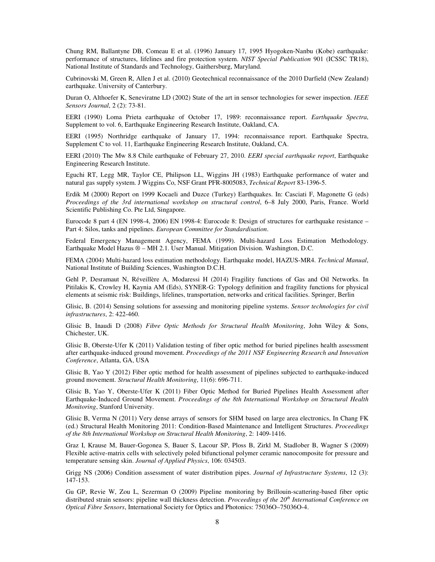Chung RM, Ballantyne DB, Comeau E et al. (1996) January 17, 1995 Hyogoken-Nanbu (Kobe) earthquake: performance of structures, lifelines and fire protection system. *NIST Special Publication* 901 (ICSSC TR18), National Institute of Standards and Technology, Gaithersburg, Maryland.

Cubrinovski M, Green R, Allen J et al. (2010) Geotechnical reconnaissance of the 2010 Darfield (New Zealand) earthquake. University of Canterbury.

Duran O, Althoefer K, Seneviratne LD (2002) State of the art in sensor technologies for sewer inspection. *IEEE Sensors Journal*, 2 (2): 73-81.

EERI (1990) Loma Prieta earthquake of October 17, 1989: reconnaissance report. *Earthquake Spectra*, Supplement to vol. 6, Earthquake Engineering Research Institute, Oakland, CA.

EERI (1995) Northridge earthquake of January 17, 1994: reconnaissance report. Earthquake Spectra, Supplement C to vol. 11, Earthquake Engineering Research Institute, Oakland, CA.

EERI (2010) The Mw 8.8 Chile earthquake of February 27, 2010. *EERI special earthquake report*, Earthquake Engineering Research Institute.

Eguchi RT, Legg MR, Taylor CE, Philipson LL, Wiggins JH (1983) Earthquake performance of water and natural gas supply system. J Wiggins Co, NSF Grant PFR-8005083, *Technical Report* 83-1396-5.

Erdik M (2000) Report on 1999 Kocaeli and Duzce (Turkey) Earthquakes. In: Casciati F, Magonette G (eds) *Proceedings of the 3rd international workshop on structural control*, 6–8 July 2000, Paris, France. World Scientific Publishing Co. Pte Ltd, Singapore.

Eurocode 8 part 4 (EN 1998-4, 2006) EN 1998-4: Eurocode 8: Design of structures for earthquake resistance – Part 4: Silos, tanks and pipelines. *European Committee for Standardisation*.

Federal Emergency Management Agency, FEMA (1999). Multi-hazard Loss Estimation Methodology. Earthquake Model Hazus ® – MH 2.1. User Manual. Mitigation Division. Washington, D.C.

FEMA (2004) Multi-hazard loss estimation methodology. Earthquake model, HAZUS-MR4. *Technical Manual*, National Institute of Building Sciences, Washington D.C.H.

Gehl P, Desramaut N, Réveillère A, Modaressi H (2014) Fragility functions of Gas and Oil Networks. In Pitilakis K, Crowley H, Kaynia AM (Eds), SYNER-G: Typology definition and fragility functions for physical elements at seismic risk: Buildings, lifelines, transportation, networks and critical facilities. Springer, Berlin

Glisic, B. (2014) Sensing solutions for assessing and monitoring pipeline systems. *Sensor technologies for civil infrastructures*, 2: 422-460.

Glisic B, Inaudi D (2008) *Fibre Optic Methods for Structural Health Monitoring*, John Wiley & Sons, Chichester, UK.

Glisic B, Oberste-Ufer K (2011) Validation testing of fiber optic method for buried pipelines health assessment after earthquake-induced ground movement. *Proceedings of the 2011 NSF Engineering Research and Innovation Conference*, Atlanta, GA, USA

Glisic B, Yao Y (2012) Fiber optic method for health assessment of pipelines subjected to earthquake-induced ground movement. *Structural Health Monitoring*, 11(6): 696-711.

Glisic B, Yao Y, Oberste-Ufer K (2011) Fiber Optic Method for Buried Pipelines Health Assessment after Earthquake-Induced Ground Movement. *Proceedings of the 8th International Workshop on Structural Health Monitoring*, Stanford University.

Glisic B, Verma N (2011) Very dense arrays of sensors for SHM based on large area electronics, In Chang FK (ed.) Structural Health Monitoring 2011: Condition-Based Maintenance and Intelligent Structures. *Proceedings of the 8th International Workshop on Structural Health Monitoring*, 2: 1409-1416.

Graz I, Krause M, Bauer-Gogonea S, Bauer S, Lacour SP, Ploss B, Zirkl M, Stadlober B, Wagner S (2009) Flexible active-matrix cells with selectively poled bifunctional polymer ceramic nanocomposite for pressure and temperature sensing skin. *Journal of Applied Physics*, 106: 034503.

Grigg NS (2006) Condition assessment of water distribution pipes. *Journal of Infrastructure Systems*, 12 (3): 147-153.

Gu GP, Revie W, Zou L, Sezerman O (2009) Pipeline monitoring by Brillouin-scattering-based fiber optic distributed strain sensors: pipeline wall thickness detection. *Proceedings of the* 20<sup>th</sup> International Conference on *Optical Fibre Sensors*, International Society for Optics and Photonics: 75036O–75036O-4.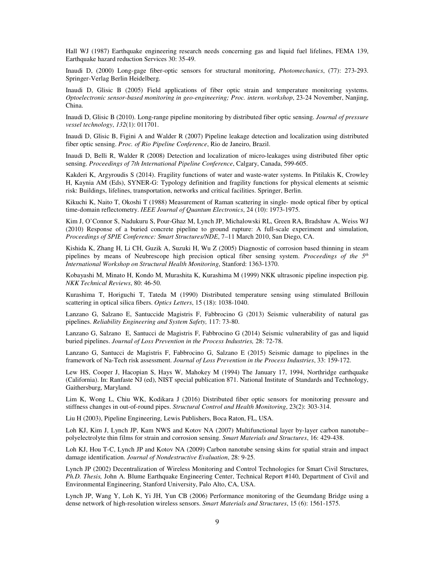Hall WJ (1987) Earthquake engineering research needs concerning gas and liquid fuel lifelines, FEMA 139, Earthquake hazard reduction Services 30: 35-49.

Inaudi D, (2000) Long-gage fiber-optic sensors for structural monitoring, *Photomechanics*, (77): 273-293. Springer-Verlag Berlin Heidelberg.

Inaudi D, Glisic B (2005) Field applications of fiber optic strain and temperature monitoring systems. *Optoelectronic sensor-based monitoring in geo-engineering; Proc. intern. workshop*, 23-24 November, Nanjing, China.

Inaudi D, Glisic B (2010). Long-range pipeline monitoring by distributed fiber optic sensing. *Journal of pressure vessel technology*, *132*(1): 011701.

Inaudi D, Glisic B, Figini A and Walder R (2007) Pipeline leakage detection and localization using distributed fiber optic sensing. *Proc. of Rio Pipeline Conference*, Rio de Janeiro, Brazil.

Inaudi D, Belli R, Walder R (2008) Detection and localization of micro-leakages using distributed fiber optic sensing. *Proceedings of 7th International Pipeline Conference*, Calgary, Canada, 599-605.

Kakderi K, Argyroudis S (2014). Fragility functions of water and waste-water systems. In Pitilakis K, Crowley H, Kaynia AM (Eds), SYNER-G: Typology definition and fragility functions for physical elements at seismic risk: Buildings, lifelines, transportation, networks and critical facilities. Springer, Berlin.

Kikuchi K, Naito T, Okoshi T (1988) Measurement of Raman scattering in single- mode optical fiber by optical time-domain reflectometry. *IEEE Journal of Quantum Electronics*, 24 (10): 1973-1975.

Kim J, O'Connor S, Nadukuru S, Pour-Ghaz M, Lynch JP, Michalowski RL, Green RA, Bradshaw A, Weiss WJ (2010) Response of a buried concrete pipeline to ground rupture: A full-scale experiment and simulation, *Proceedings of SPIE Conference: Smart Structures/NDE*, 7–11 March 2010, San Diego, CA.

Kishida K, Zhang H, Li CH, Guzik A, Suzuki H, Wu Z (2005) Diagnostic of corrosion based thinning in steam pipelines by means of Neubrescope high precision optical fiber sensing system. *Proceedings of the 5th International Workshop on Structural Health Monitoring*, Stanford: 1363-1370.

Kobayashi M, Minato H, Kondo M, Murashita K, Kurashima M (1999) NKK ultrasonic pipeline inspection pig. *NKK Technical Reviews*, 80: 46-50.

Kurashima T, Horiguchi T, Tateda M (1990) Distributed temperature sensing using stimulated Brillouin scattering in optical silica fibers. *Optics Letters*, 15 (18): 1038-1040.

Lanzano G, Salzano E, Santuccide Magistris F, Fabbrocino G (2013) Seismic vulnerability of natural gas pipelines. *Reliability Engineering and System Safety,* 117: 73-80.

Lanzano G, Salzano E, Santucci de Magistris F, Fabbrocino G (2014) Seismic vulnerability of gas and liquid buried pipelines. *Journal of Loss Prevention in the Process Industries,* 28: 72-78.

Lanzano G, Santucci de Magistris F, Fabbrocino G, Salzano E (2015) Seismic damage to pipelines in the framework of Na-Tech risk assessment. *Journal of Loss Prevention in the Process Industries*, 33: 159-172.

Lew HS, Cooper J, Hacopian S, Hays W, Mahokey M (1994) The January 17, 1994, Northridge earthquake (California). In: Ranfaste NJ (ed), NIST special publication 871. National Institute of Standards and Technology, Gaithersburg, Maryland.

Lim K, Wong L, Chiu WK, Kodikara J (2016) Distributed fiber optic sensors for monitoring pressure and stiffness changes in out-of-round pipes. *Structural Control and Health Monitoring*, 23(2): 303-314.

Liu H (2003), Pipeline Engineering, Lewis Publishers, Boca Raton, FL, USA.

Loh KJ, Kim J, Lynch JP, Kam NWS and Kotov NA (2007) Multifunctional layer by-layer carbon nanotube– polyelectrolyte thin films for strain and corrosion sensing. *Smart Materials and Structures*, 16: 429-438.

Loh KJ, Hou T-C, Lynch JP and Kotov NA (2009) Carbon nanotube sensing skins for spatial strain and impact damage identification. *Journal of Nondestructive Evaluation*, 28: 9-25.

Lynch JP (2002) Decentralization of Wireless Monitoring and Control Technologies for Smart Civil Structures, *Ph.D. Thesis,* John A. Blume Earthquake Engineering Center, Technical Report #140, Department of Civil and Environmental Engineering, Stanford University, Palo Alto, CA, USA.

Lynch JP, Wang Y, Loh K, Yi JH, Yun CB (2006) Performance monitoring of the Geumdang Bridge using a dense network of high-resolution wireless sensors. *Smart Materials and Structures*, 15 (6): 1561-1575.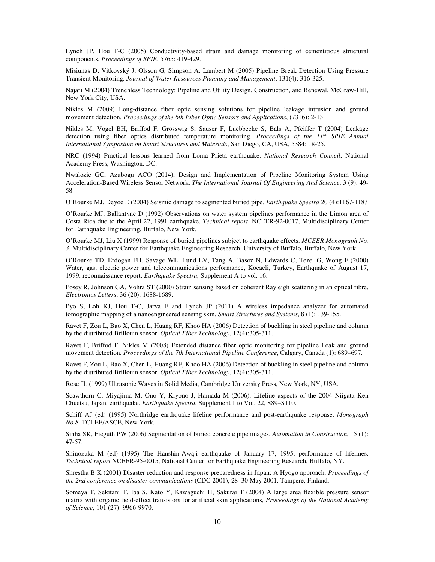Lynch JP, Hou T-C (2005) Conductivity-based strain and damage monitoring of cementitious structural components. *Proceedings of SPIE*, 5765: 419-429.

Misiunas D, Vítkovský J, Olsson G, Simpson A, Lambert M (2005) Pipeline Break Detection Using Pressure Transient Monitoring. *Journal of Water Resources Planning and Management*, 131(4): 316-325.

Najafi M (2004) Trenchless Technology: Pipeline and Utility Design, Construction, and Renewal, McGraw-Hill, New York City, USA.

Nikles M (2009) Long-distance fiber optic sensing solutions for pipeline leakage intrusion and ground movement detection. *Proceedings of the 6th Fiber Optic Sensors and Applications*, (7316): 2-13.

Nikles M, Vogel BH, Briffod F, Grosswig S, Sauser F, Luebbecke S, Bals A, Pfeiffer T (2004) Leakage detection using fiber optics distributed temperature monitoring. *Proceedings of the 11th SPIE Annual International Symposium on Smart Structures and Materials*, San Diego, CA, USA, 5384: 18-25.

NRC (1994) Practical lessons learned from Loma Prieta earthquake. *National Research Council*, National Academy Press, Washington, DC.

Nwalozie GC, Azubogu ACO (2014), Design and Implementation of Pipeline Monitoring System Using Acceleration-Based Wireless Sensor Network. *The International Journal Of Engineering And Science*, 3 (9): 49- 58.

O'Rourke MJ, Deyoe E (2004) Seismic damage to segmented buried pipe. *Earthquake Spectra* 20 (4):1167-1183

O'Rourke MJ, Ballantyne D (1992) Observations on water system pipelines performance in the Limon area of Costa Rica due to the April 22, 1991 earthquake. *Technical report*, NCEER-92-0017, Multidisciplinary Center for Earthquake Engineering, Buffalo, New York.

O'Rourke MJ, Liu X (1999) Response of buried pipelines subject to earthquake effects. *MCEER Monograph No. 3*, Multidisciplinary Center for Earthquake Engineering Research, University of Buffalo, Buffalo, New York.

O'Rourke TD, Erdogan FH, Savage WL, Lund LV, Tang A, Basoz N, Edwards C, Tezel G, Wong F (2000) Water, gas, electric power and telecommunications performance, Kocaeli, Turkey, Earthquake of August 17, 1999: reconnaissance report, *Earthquake Spectra*, Supplement A to vol. 16.

Posey R, Johnson GA, Vohra ST (2000) Strain sensing based on coherent Rayleigh scattering in an optical fibre, *Electronics Letters*, 36 (20): 1688-1689.

Pyo S, Loh KJ, Hou T-C, Jarva E and Lynch JP (2011) A wireless impedance analyzer for automated tomographic mapping of a nanoengineered sensing skin. *Smart Structures and Systems*, 8 (1): 139-155.

Ravet F, Zou L, Bao X, Chen L, Huang RF, Khoo HA (2006) Detection of buckling in steel pipeline and column by the distributed Brillouin sensor. *Optical Fiber Technology*, 12(4):305-311.

Ravet F, Briffod F, Nikles M (2008) Extended distance fiber optic monitoring for pipeline Leak and ground movement detection. *Proceedings of the 7th International Pipeline Conference*, Calgary, Canada (1): 689–697.

Ravet F, Zou L, Bao X, Chen L, Huang RF, Khoo HA (2006) Detection of buckling in steel pipeline and column by the distributed Brillouin sensor. *Optical Fiber Technology*, 12(4):305-311.

Rose JL (1999) Ultrasonic Waves in Solid Media, Cambridge University Press, New York, NY, USA.

Scawthorn C, Miyajima M, Ono Y, Kiyono J, Hamada M (2006). Lifeline aspects of the 2004 Niigata Ken Chuetsu, Japan, earthquake. *Earthquake Spectra*, Supplement 1 to Vol. 22, S89–S110.

Schiff AJ (ed) (1995) Northridge earthquake lifeline performance and post-earthquake response. *Monograph No.8*. TCLEE/ASCE, New York.

Sinha SK, Fieguth PW (2006) Segmentation of buried concrete pipe images. *Automation in Construction*, 15 (1): 47-57.

Shinozuka M (ed) (1995) The Hanshin-Awaji earthquake of January 17, 1995, performance of lifelines. *Technical report* NCEER-95-0015, National Center for Earthquake Engineering Research, Buffalo, NY.

Shrestha B K (2001) Disaster reduction and response preparedness in Japan: A Hyogo approach. *Proceedings of the 2nd conference on disaster communications* (CDC 2001), 28–30 May 2001, Tampere, Finland.

Someya T, Sekitani T, Iba S, Kato Y, Kawaguchi H, Sakurai T (2004) A large area flexible pressure sensor matrix with organic field-effect transistors for artificial skin applications, *Proceedings of the National Academy of Science*, 101 (27): 9966-9970.